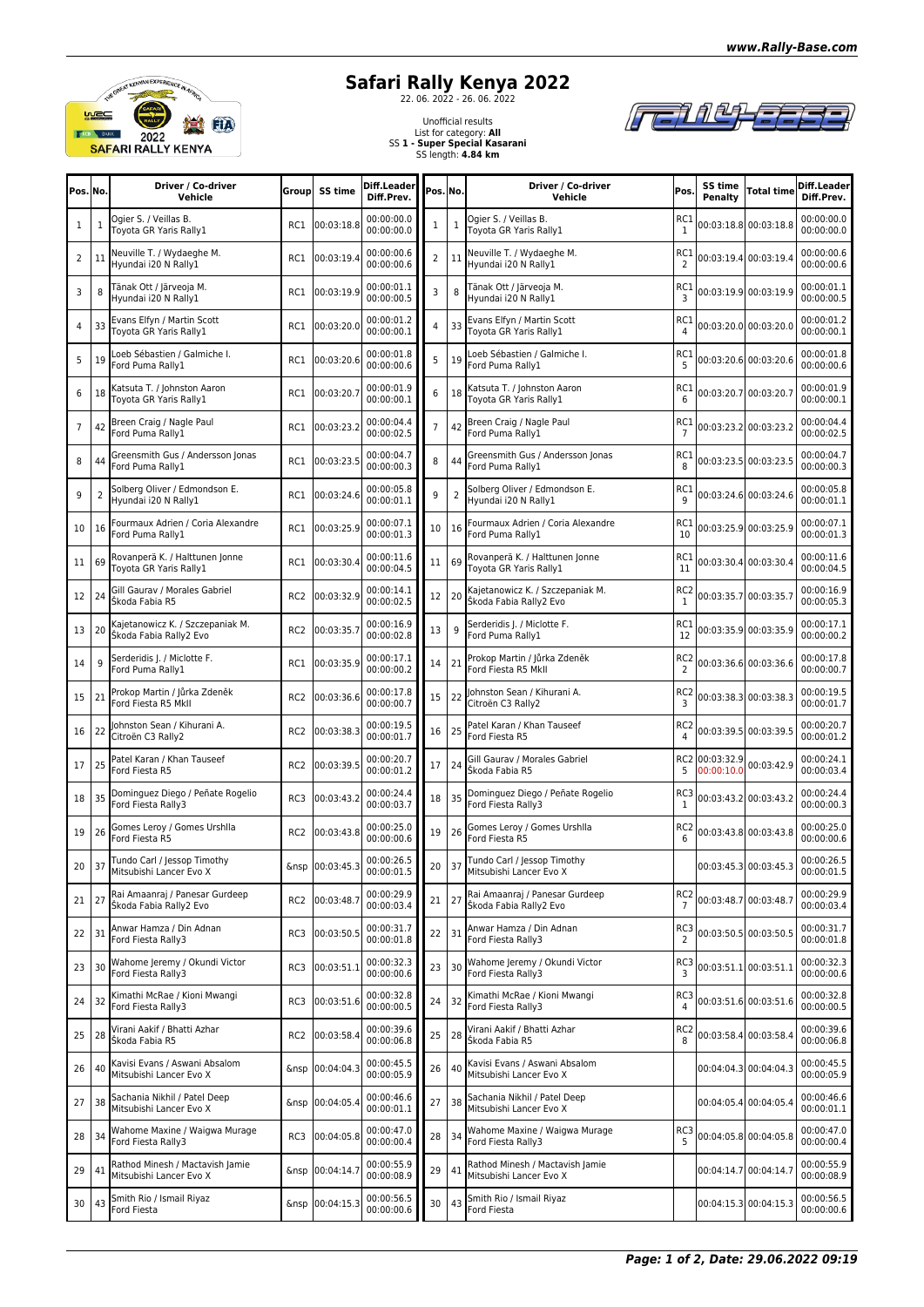



## **Safari Rally Kenya 2022**<br>2022 - 26. 2022 - 26. 06. 2022



Unofficial results List for category: **All** SS **1 - Super Special Kasarani** SS length: **4.84 km**

| Pos. No.       |    | Driver / Co-driver<br>Vehicle                                         | Group           | SS time         | Diff.Leadeı<br>Diff.Prev.                                 | Pos.lNo.       |                | Driver / Co-driver<br>Vehicle                                | Pos.                              | SS time<br>Penalty           | <b>Total time</b>     | Diff.Leader<br>Diff.Prev.                      |
|----------------|----|-----------------------------------------------------------------------|-----------------|-----------------|-----------------------------------------------------------|----------------|----------------|--------------------------------------------------------------|-----------------------------------|------------------------------|-----------------------|------------------------------------------------|
| 1              | 1  | Ogier S. / Veillas B.<br>Tovota GR Yaris Rally1                       | RC1             | 00:03:18.8      | 00:00:00.0<br>00:00:00.0                                  | 1              | $\mathbf{1}$   | Ogier S. / Veillas B.<br>Tovota GR Yaris Rally1              | RC1<br>1                          |                              | 00:03:18.8 00:03:18.8 | 00:00:00.0<br>00:00:00.0                       |
| $\overline{2}$ | 11 | Neuville T. / Wydaeghe M.<br>Hyundai i20 N Rally1                     | RC1             | 00:03:19.4      | 00:00:00.6<br>00:00:00.6                                  | $\overline{2}$ | 11             | Neuville T. / Wydaeghe M.<br>Hyundai i20 N Rally1            | RC1<br>2                          |                              | 00:03:19.4 00:03:19.4 | 00:00:00.6<br>00:00:00.6                       |
| 3              | 8  | Fänak Ott / Järveoja M.<br>Hyundai i20 N Rally1                       | RC1             | 00:03:19.9      | 00:00:01.1<br>00:00:00.5                                  | 3              | 8              | Tänak Ott / Järveoja M.<br>Hyundai i20 N Rally1              | RC1<br>3                          |                              | 00:03:19.9 00:03:19.9 | 00:00:01.1<br>00:00:00.5                       |
| 4              | 33 | Evans Elfyn / Martin Scott<br>Toyota GR Yaris Rally1                  | RC1             | 00:03:20.0      | 00:00:01.2<br>00:00:00.1                                  | 4              | 33             | Evans Elfyn / Martin Scott<br>Toyota GR Yaris Rally1         | RC1                               |                              | 00:03:20.0 00:03:20.0 | 00:00:01.2<br>00:00:00.1                       |
| 5              | 19 | oeb Sébastien / Galmiche I.<br>ord Puma Rally1                        | RC1             | 00:03:20.6      | 00:00:01.8<br>00:00:00.6                                  | 5              | 19             | Loeb Sébastien / Galmiche I.<br>Ford Puma Rally1             | RC1<br>5                          |                              | 00:03:20.6 00:03:20.6 | 00:00:01.8<br>00:00:00.6                       |
| 6              | 18 | <atsuta aaron<br="" johnston="" t.="">Foyota GR Yaris Rally1</atsuta> | RC1             | 00:03:20.7      | 00:00:01.9<br>00:00:00.1                                  | 6              | 18             | Katsuta T. / Johnston Aaron<br>Toyota GR Yaris Rally1        | RC1<br>6                          |                              | 00:03:20.7 00:03:20.7 | 00:00:01.9<br>00:00:00.1                       |
| $\overline{7}$ | 42 | Breen Craig / Nagle Paul<br>Ford Puma Rally1                          | RC1             | 00:03:23.2      | 00:00:04.4<br>00:00:02.5                                  | $\overline{7}$ | 42             | Breen Craig / Nagle Paul<br>Ford Puma Rally1                 | RC1<br>$\overline{7}$             |                              | 00:03:23.2 00:03:23.2 | 00:00:04.4<br>00:00:02.5                       |
| 8              | 44 | Greensmith Gus / Andersson Jonas<br>Ford Puma Rally1                  | RC1             | 00:03:23.5      | 00:00:04.7<br>00:00:00.3                                  | 8              | 44             | Greensmith Gus / Andersson Jonas<br>Ford Puma Rally1         | RC1<br>8                          |                              | 00:03:23.5 00:03:23.5 | 00:00:04.7<br>00:00:00.3                       |
| 9              | 2  | Solberg Oliver / Edmondson E.<br>lyundai i20 N Rally1                 | RC1             | 00:03:24.6      | 00:00:05.8<br>00:00:01.1                                  | 9              | $\overline{2}$ | Solberg Oliver / Edmondson E.<br>Hyundai i20 N Rally1        | RC1<br>9                          |                              | 00:03:24.6 00:03:24.6 | 00:00:05.8<br>00:00:01.1                       |
| 10             | 16 | Fourmaux Adrien / Coria Alexandre<br>Ford Puma Rally1                 | RC1             | 00:03:25.9      | 00:00:07.1<br>00:00:01.3                                  | 10             | 16             | Fourmaux Adrien / Coria Alexandre<br>Ford Puma Rally1        | RC1<br>10                         |                              | 00:03:25.9 00:03:25.9 | 00:00:07.1<br>00:00:01.3                       |
| 11             | 69 | Rovanperä K. / Halttunen Jonne<br>Toyota GR Yaris Rally1              | RC1             | 00:03:30.4      | 00:00:11.6<br>00:00:04.5                                  | 11             | 69             | Rovanperä K. / Halttunen Jonne<br>Tovota GR Yaris Rally1     | RC1<br>11                         |                              | 00:03:30.4 00:03:30.4 | 00:00:11.6<br>00:00:04.5                       |
| 12             | 24 | Gill Gaurav / Morales Gabriel<br>Škoda Fabia R5                       | RC <sub>2</sub> | 00:03:32.9      | 00:00:14.1<br>00:00:02.5                                  | 12             | 20             | Kajetanowicz K. / Szczepaniak M.<br>Škoda Fabia Rally2 Evo   | RC <sub>2</sub><br>1              |                              | 00:03:35.7 00:03:35.7 | 00:00:16.9<br>00:00:05.3                       |
| 13             | 20 | Kajetanowicz K. / Szczepaniak M.<br>Škoda Fabia Rally2 Evo            | RC <sub>2</sub> | 00:03:35.7      | 00:00:16.9<br>00:00:02.8                                  | 13             | 9              | Serderidis J. / Miclotte F.<br>Ford Puma Rally1              | RC1<br>12                         |                              | 00:03:35.9 00:03:35.9 | 00:00:17.1<br>00:00:00.2                       |
| 14             | 9  | Serderidis J. / Miclotte F.<br>ord Puma Rally1                        | RC1             | 00:03:35.9      | 00:00:17.1<br>00:00:00.2                                  | 14             | 21             | Prokop Martin / Jůrka Zdeněk<br>Ford Fiesta R5 MkII          | RC <sub>2</sub><br>2              |                              | 00:03:36.6 00:03:36.6 | 00:00:17.8<br>00:00:00.7                       |
| 15             | 21 | Prokop Martin / Jůrka Zdeněk<br>Ford Fiesta R5 MkII                   | RC <sub>2</sub> | 00:03:36.6      | 00:00:17.8<br>00:00:00.7                                  | 15             | 22             | Johnston Sean / Kihurani A.<br>Citroën C3 Rally2             | RC <sub>2</sub><br>3              |                              | 00:03:38.3 00:03:38.3 | 00:00:19.5<br>00:00:01.7                       |
| 16             | 22 | Johnston Sean / Kihurani A.<br>Citroën C3 Rally2                      | RC <sub>2</sub> | 00:03:38.3      | 00:00:19.5<br>00:00:01.7                                  | 16             | 25             | Patel Karan / Khan Tauseef<br>Ford Fiesta R5                 | RC2                               |                              | 00:03:39.5 00:03:39.5 | 00:00:20.7<br>00:00:01.2                       |
| 17             | 25 | Patel Karan / Khan Tauseef<br>Ford Fiesta R5                          | RC <sub>2</sub> | 00:03:39.5      | 00:00:20.7<br>00:00:01.2                                  | 17             | 24             | Gill Gaurav / Morales Gabriel<br>Škoda Fabia R5              | 5                                 | RC2 00:03:32.9<br>00:00:10.0 | 00:03:42.9            | 00:00:24.1<br>00:00:03.4                       |
| 18             | 35 | Dominguez Diego / Peñate Rogelio<br>Ford Fiesta Rally3                | RC3             | 00:03:43.2      | 00:00:24.4<br>00:00:03.7                                  | 18             | 35             | Dominguez Diego / Peñate Rogelio<br>Ford Fiesta Rally3       | RC3<br>1                          |                              | 00:03:43.2 00:03:43.2 | 00:00:24.4<br>00:00:00.3                       |
| 19             | 26 | Gomes Leroy / Gomes Urshlla<br>Ford Fiesta R5                         | RC <sub>2</sub> | 00:03:43.8      | 00:00:25.0<br>00:00:00.6                                  | 19             | 26             | Gomes Leroy / Gomes Urshlla<br>Ford Fiesta R5                | RC <sub>2</sub><br>6              |                              | 00:03:43.8 00:03:43.8 | 00:00:25.0<br>00:00:00.6                       |
|                |    | 20 37 Tundo Carl / Jessop Timothy<br>Mitsubishi Lancer Evo X          |                 |                 | &nsp $\left  00:03:45.3 \right  00:00:26.5$<br>00:00:01.5 |                |                | 20 37 Tundo Carl / Jessop Timothy<br>Mitsubishi Lancer Evo X |                                   |                              |                       | 00:03:45.3 00:03:45.3 00:00:26.5<br>00:00:01.5 |
| 21             | 27 | Rai Amaanraj / Panesar Gurdeep<br>Škoda Fabia Rally2 Evo              | RC <sub>2</sub> | 00:03:48.7      | 00:00:29.9<br>00:00:03.4                                  | 21             | 27             | Rai Amaanraj / Panesar Gurdeep<br>Škoda Fabia Rally2 Evo     | RC <sub>2</sub><br>$\overline{7}$ |                              | 00:03:48.7 00:03:48.7 | 00:00:29.9<br>00:00:03.4                       |
| 22             | 31 | Anwar Hamza / Din Adnan<br>Ford Fiesta Rally3                         | RC3             | 00:03:50.5      | 00:00:31.7<br>00:00:01.8                                  | 22             | 31             | Anwar Hamza / Din Adnan<br>Ford Fiesta Rally3                | RC3<br>2                          |                              | 00:03:50.5 00:03:50.5 | 00:00:31.7<br>00:00:01.8                       |
| 23             | 30 | Wahome Jeremy / Okundi Victor<br>Ford Fiesta Rally3                   | RC3             | 00:03:51.1      | 00:00:32.3<br>00:00:00.6                                  | 23             | 30             | Wahome Jeremy / Okundi Victor<br>Ford Fiesta Rally3          | RC3<br>3                          |                              | 00:03:51.1 00:03:51.1 | 00:00:32.3<br>00:00:00.6                       |
| 24             | 32 | Kimathi McRae / Kioni Mwangi<br>Ford Fiesta Rally3                    | RC3             | 00:03:51.6      | 00:00:32.8<br>00:00:00.5                                  | 24             | 32             | Kimathi McRae / Kioni Mwangi<br>Ford Fiesta Rally3           | RC3                               |                              | 00:03:51.6 00:03:51.6 | 00:00:32.8<br>00:00:00.5                       |
| 25             | 28 | Virani Aakif / Bhatti Azhar<br>Škoda Fabia R5                         | RC <sub>2</sub> | 00:03:58.4      | 00:00:39.6<br>00:00:06.8                                  | 25             | 28             | Virani Aakif / Bhatti Azhar<br>Škoda Fabia R5                | RC <sub>2</sub><br>8              |                              | 00:03:58.4 00:03:58.4 | 00:00:39.6<br>00:00:06.8                       |
| 26             | 40 | Kavisi Evans / Aswani Absalom<br>Mitsubishi Lancer Evo X              | &nsp            | 00:04:04.3      | 00:00:45.5<br>00:00:05.9                                  | 26             | 40             | Kavisi Evans / Aswani Absalom<br>Mitsubishi Lancer Evo X     |                                   |                              | 00:04:04.3 00:04:04.3 | 00:00:45.5<br>00:00:05.9                       |
| 27             | 38 | Sachania Nikhil / Patel Deep<br>Mitsubishi Lancer Evo X               | &nsp            | 00:04:05.4      | 00:00:46.6<br>00:00:01.1                                  | 27             | 38             | Sachania Nikhil / Patel Deep<br>Mitsubishi Lancer Evo X      |                                   |                              | 00:04:05.4 00:04:05.4 | 00:00:46.6<br>00:00:01.1                       |
| 28             | 34 | Wahome Maxine / Waigwa Murage<br>Ford Fiesta Rally3                   | RC3             | 00:04:05.8      | 00:00:47.0<br>00:00:00.4                                  | 28             | 34             | Wahome Maxine / Waigwa Murage<br>Ford Fiesta Rally3          | RC3                               |                              | 00:04:05.8 00:04:05.8 | 00:00:47.0<br>00:00:00.4                       |
| 29             | 41 | Rathod Minesh / Mactavish Jamie<br>Mitsubishi Lancer Evo X            | &nsp            | 00:04:14.7      | 00:00:55.9<br>00:00:08.9                                  | 29             | 41             | Rathod Minesh / Mactavish Jamie<br>Mitsubishi Lancer Evo X   |                                   |                              | 00:04:14.7 00:04:14.7 | 00:00:55.9<br>00:00:08.9                       |
| 30             | 43 | Smith Rio / Ismail Riyaz<br><b>Ford Fiesta</b>                        |                 | &nsp 00:04:15.3 | 00:00:56.5<br>00:00:00.6                                  | 30             | 43             | Smith Rio / Ismail Riyaz<br>Ford Fiesta                      |                                   |                              | 00:04:15.3 00:04:15.3 | 00:00:56.5<br>00:00:00.6                       |